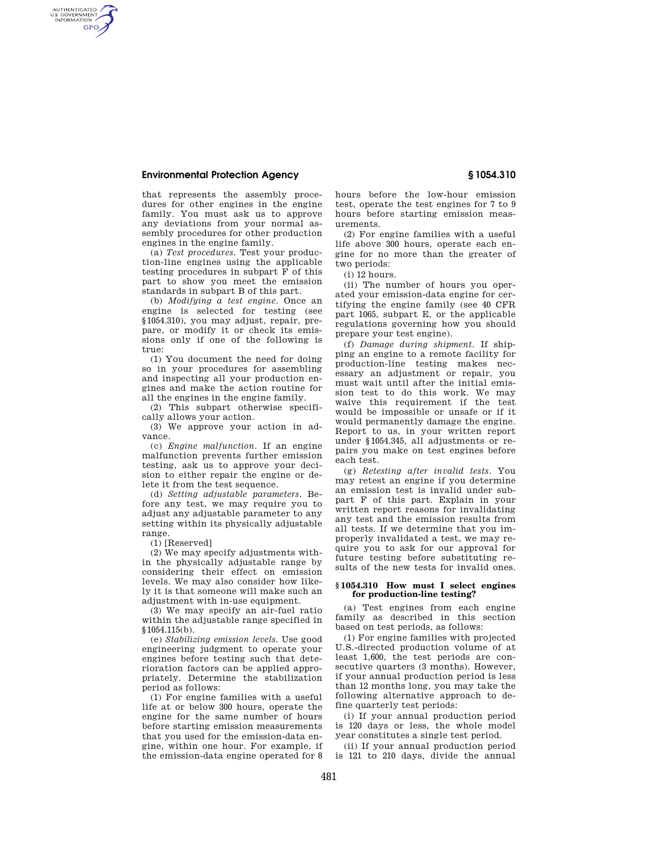## **Environmental Protection Agency § 1054.310**

AUTHENTICATED<br>U.S. GOVERNMENT<br>INFORMATION **GPO** 

> that represents the assembly procedures for other engines in the engine family. You must ask us to approve any deviations from your normal assembly procedures for other production engines in the engine family.

> (a) *Test procedures.* Test your production-line engines using the applicable testing procedures in subpart F of this part to show you meet the emission standards in subpart B of this part.

> (b) *Modifying a test engine.* Once an engine is selected for testing (see §1054.310), you may adjust, repair, prepare, or modify it or check its emissions only if one of the following is true:

> (1) You document the need for doing so in your procedures for assembling and inspecting all your production engines and make the action routine for all the engines in the engine family.

(2) This subpart otherwise specifically allows your action.

(3) We approve your action in advance.

(c) *Engine malfunction.* If an engine malfunction prevents further emission testing, ask us to approve your decision to either repair the engine or delete it from the test sequence.

(d) *Setting adjustable parameters.* Before any test, we may require you to adjust any adjustable parameter to any setting within its physically adjustable range.

(1) [Reserved]

(2) We may specify adjustments within the physically adjustable range by considering their effect on emission levels. We may also consider how likely it is that someone will make such an adjustment with in-use equipment.

(3) We may specify an air-fuel ratio within the adjustable range specified in §1054.115(b).

(e) *Stabilizing emission levels.* Use good engineering judgment to operate your engines before testing such that deterioration factors can be applied appropriately. Determine the stabilization period as follows:

(1) For engine families with a useful life at or below 300 hours, operate the engine for the same number of hours before starting emission measurements that you used for the emission-data engine, within one hour. For example, if the emission-data engine operated for 8 hours before the low-hour emission test, operate the test engines for 7 to 9 hours before starting emission measurements.

(2) For engine families with a useful life above 300 hours, operate each engine for no more than the greater of two periods:

(i) 12 hours.

(ii) The number of hours you operated your emission-data engine for certifying the engine family (see 40 CFR part 1065, subpart E, or the applicable regulations governing how you should prepare your test engine).

(f) *Damage during shipment.* If shipping an engine to a remote facility for production-line testing makes necessary an adjustment or repair, you must wait until after the initial emission test to do this work. We may waive this requirement if the test would be impossible or unsafe or if it would permanently damage the engine. Report to us, in your written report under §1054.345, all adjustments or repairs you make on test engines before each test.

(g) *Retesting after invalid tests.* You may retest an engine if you determine an emission test is invalid under subpart F of this part. Explain in your written report reasons for invalidating any test and the emission results from all tests. If we determine that you improperly invalidated a test, we may require you to ask for our approval for future testing before substituting results of the new tests for invalid ones.

## **§ 1054.310 How must I select engines for production-line testing?**

(a) Test engines from each engine family as described in this section based on test periods, as follows:

(1) For engine families with projected U.S.-directed production volume of at least 1,600, the test periods are consecutive quarters (3 months). However, if your annual production period is less than 12 months long, you may take the following alternative approach to define quarterly test periods:

(i) If your annual production period is 120 days or less, the whole model year constitutes a single test period.

(ii) If your annual production period is 121 to 210 days, divide the annual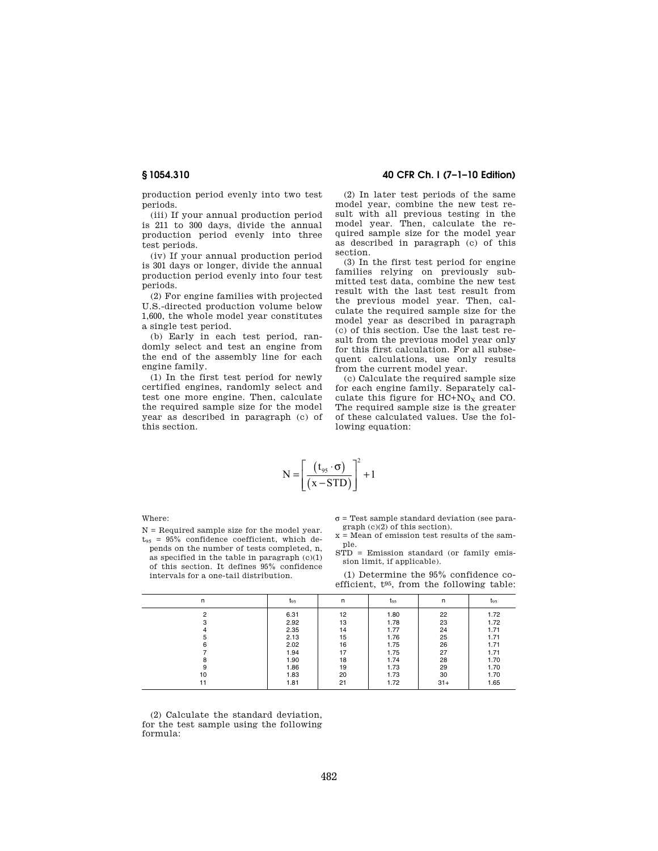production period evenly into two test periods.

(iii) If your annual production period is 211 to 300 days, divide the annual production period evenly into three test periods.

(iv) If your annual production period is 301 days or longer, divide the annual production period evenly into four test periods.

(2) For engine families with projected U.S.-directed production volume below 1,600, the whole model year constitutes a single test period.

(b) Early in each test period, randomly select and test an engine from the end of the assembly line for each engine family.

(1) In the first test period for newly certified engines, randomly select and test one more engine. Then, calculate the required sample size for the model year as described in paragraph (c) of this section.

# **§ 1054.310 40 CFR Ch. I (7–1–10 Edition)**

(2) In later test periods of the same model year, combine the new test result with all previous testing in the model year. Then, calculate the required sample size for the model year as described in paragraph (c) of this section.

(3) In the first test period for engine families relying on previously submitted test data, combine the new test result with the last test result from the previous model year. Then, calculate the required sample size for the model year as described in paragraph (c) of this section. Use the last test result from the previous model year only for this first calculation. For all subsequent calculations, use only results from the current model year.

(c) Calculate the required sample size for each engine family. Separately calculate this figure for  $HC+NO<sub>X</sub>$  and CO. The required sample size is the greater of these calculated values. Use the following equation:

$$
N = \left[ \frac{\left( t_{95} \cdot \sigma \right)}{\left( x - STD \right)} \right]^2 + 1
$$

Where:

N = Required sample size for the model year.  $t_{95}$  = 95% confidence coefficient, which depends on the number of tests completed, n, as specified in the table in paragraph  $(c)(1)$ of this section. It defines 95% confidence intervals for a one-tail distribution.

 $\sigma$  = Test sample standard deviation (see paragraph (c)(2) of this section).

- x = Mean of emission test results of the sample.
- STD = Emission standard (or family emission limit, if applicable).

(1) Determine the 95% confidence coefficient, t95, from the following table:

| $t_{95}$     | n                            | $t_{95}$             | n                            | $t_{95}$             |
|--------------|------------------------------|----------------------|------------------------------|----------------------|
| 6.31         | 12                           | 1.80                 | 22                           | 1.72<br>1.72         |
| 2.35         | 14                           | 1.77                 | 24                           | 1.71                 |
|              |                              |                      |                              | 1.71<br>1.71         |
| 1.94         | 17                           | 1.75                 | 27                           | 1.71                 |
| 1.86         | 19                           | 1.73                 | 29                           | 1.70<br>1.70         |
| 1.83<br>1.81 | 20<br>21                     | 1.73<br>1.72         | 30<br>$31+$                  | 1.70<br>1.65         |
|              | 2.92<br>2.13<br>2.02<br>1.90 | 13<br>15<br>16<br>18 | 1.78<br>1.76<br>1.75<br>1.74 | 23<br>25<br>26<br>28 |

(2) Calculate the standard deviation, for the test sample using the following formula: